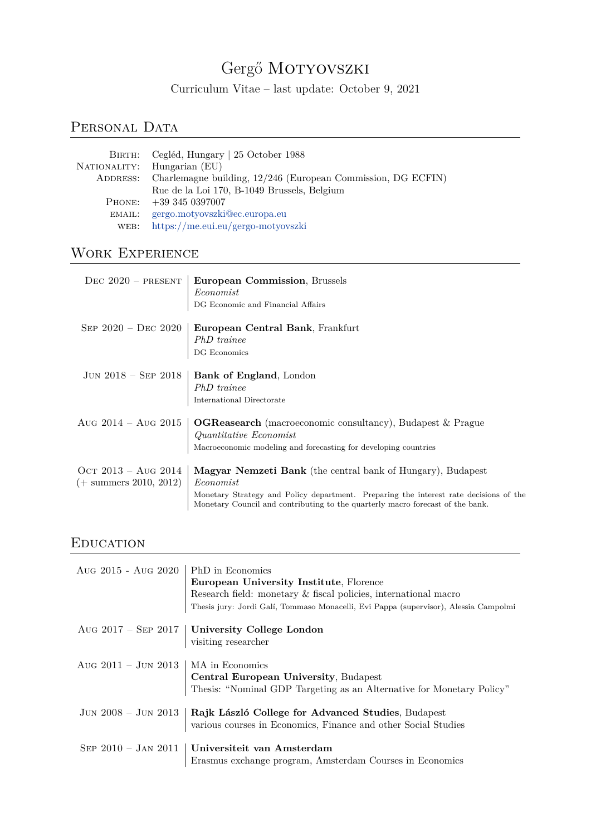# Gergő MOTYOVSZKI

Curriculum Vitae – last update: October 9, 2021

## PERSONAL DATA

|        | BIRTH: Cegléd, Hungary   25 October 1988                              |
|--------|-----------------------------------------------------------------------|
|        | NATIONALITY: Hungarian (EU)                                           |
|        | ADDRESS: Charlemagne building, 12/246 (European Commission, DG ECFIN) |
|        | Rue de la Loi 170, B-1049 Brussels, Belgium                           |
|        | PHONE: $+393450397007$                                                |
| EMAIL: | gergo.motyovszki@ec.europa.eu                                         |
|        | WEB: https://me.eui.eu/gergo-motyovszki                               |

# WORK EXPERIENCE

|                                                          | DEC $2020$ – PRESENT   European Commission, Brussels<br>Economist<br>$\mathop{\rm DG}$ Economic and Financial Affairs                                                                                                                               |
|----------------------------------------------------------|-----------------------------------------------------------------------------------------------------------------------------------------------------------------------------------------------------------------------------------------------------|
|                                                          | SEP 2020 - DEC 2020   European Central Bank, Frankfurt<br>$PhD \; \mathit{trainee}$ DG Economics                                                                                                                                                    |
|                                                          | JUN 2018 – SEP 2018   Bank of England, London<br>PhD trainee<br>International Directorate                                                                                                                                                           |
|                                                          | Aug 2014 – Aug 2015   OGReasearch (macroeconomic consultancy), Budapest & Prague<br>Quantitative Economist<br>Macroeconomic modeling and forecasting for developing countries                                                                       |
| OCT 2013 – Aug 2014<br>$(+ \text{ summers } 2010, 2012)$ | Magyar Nemzeti Bank (the central bank of Hungary), Budapest<br>Economist<br>Monetary Strategy and Policy department. Preparing the interest rate decisions of the<br>Monetary Council and contributing to the quarterly macro forecast of the bank. |

# **EDUCATION**

| Aug 2015 - Aug 2020   PhD in Economics | European University Institute, Florence<br>Research field: monetary & fiscal policies, international macro<br>Thesis jury: Jordi Galí, Tommaso Monacelli, Evi Pappa (supervisor), Alessia Campolmi |
|----------------------------------------|----------------------------------------------------------------------------------------------------------------------------------------------------------------------------------------------------|
|                                        | Aug 2017 – SEP 2017 University College London<br>visiting researcher                                                                                                                               |
| Aug 2011 – Jun 2013   MA in Economics  | Central European University, Budapest<br>Thesis: "Nominal GDP Targeting as an Alternative for Monetary Policy"                                                                                     |
|                                        | JUN 2008 – JUN 2013 Rajk László College for Advanced Studies, Budapest<br>various courses in Economics, Finance and other Social Studies                                                           |
|                                        | SEP 2010 - JAN 2011   Universiteit van Amsterdam<br>Erasmus exchange program, Amsterdam Courses in Economics                                                                                       |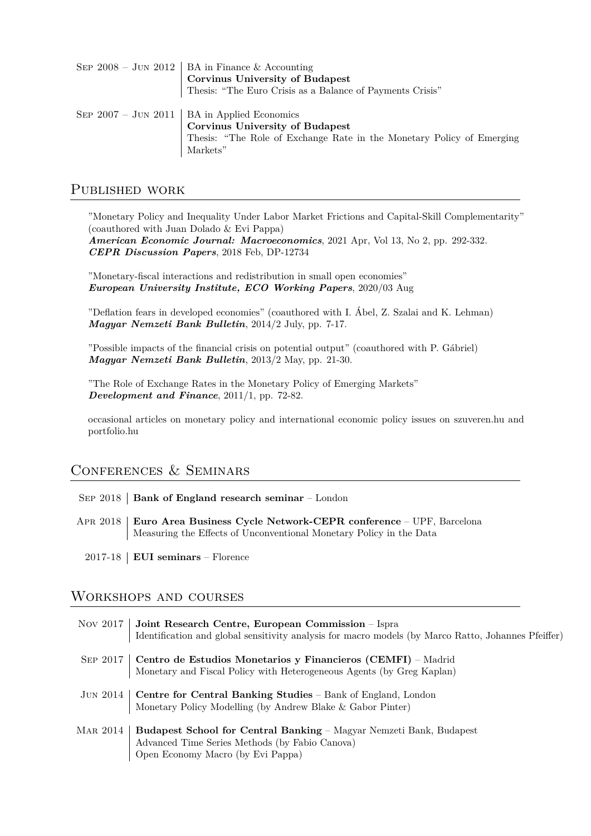| SEP 2008 – JUN 2012   BA in Finance & Accounting                      |
|-----------------------------------------------------------------------|
| <b>Corvinus University of Budapest</b>                                |
| Thesis: "The Euro Crisis as a Balance of Payments Crisis"             |
|                                                                       |
| SEP $2007 - JUN 2011$   BA in Applied Economics                       |
| <b>Corvinus University of Budapest</b>                                |
| Thesis: "The Role of Exchange Rate in the Monetary Policy of Emerging |
| Markets"                                                              |

#### Published work

"Monetary Policy and Inequality Under Labor Market Frictions and Capital-Skill Complementarity" (coauthored with Juan Dolado & Evi Pappa)

*American Economic Journal: Macroeconomics*, 2021 Apr, Vol 13, No 2, pp. 292-332. *CEPR Discussion Papers*, 2018 Feb, DP-12734

"Monetary-fiscal interactions and redistribution in small open economies" *European University Institute, ECO Working Papers*, 2020/03 Aug

"Deflation fears in developed economies" (coauthored with I. Ábel, Z. Szalai and K. Lehman) *Magyar Nemzeti Bank Bulletin*, 2014/2 July, pp. 7-17.

"Possible impacts of the financial crisis on potential output" (coauthored with P. Gábriel) *Magyar Nemzeti Bank Bulletin*, 2013/2 May, pp. 21-30.

"The Role of Exchange Rates in the Monetary Policy of Emerging Markets" *Development and Finance*, 2011/1, pp. 72-82.

occasional articles on monetary policy and international economic policy issues on szuveren.hu and portfolio.hu

## Conferences & Seminars

| SEP 2018   Bank of England research seminar - London |  |
|------------------------------------------------------|--|
|------------------------------------------------------|--|

- Apr 2018 **Euro Area Business Cycle Network-CEPR conference** UPF, Barcelona Measuring the Effects of Unconventional Monetary Policy in the Data
	- 2017-18 **EUI seminars** Florence

#### Workshops and courses

| Nov 2017 | Joint Research Centre, European Commission - Ispra<br>Identification and global sensitivity analysis for macro models (by Marco Ratto, Johannes Pfeiffer)         |
|----------|-------------------------------------------------------------------------------------------------------------------------------------------------------------------|
| SEP 2017 | <b>Centro de Estudios Monetarios y Financieros (CEMFI)</b> – Madrid<br>Monetary and Fiscal Policy with Heterogeneous Agents (by Greg Kaplan)                      |
|          | JUN 2014   Centre for Central Banking Studies – Bank of England, London<br>Monetary Policy Modelling (by Andrew Blake & Gabor Pinter)                             |
| Mar 2014 | <b>Budapest School for Central Banking</b> – Magyar Nemzeti Bank, Budapest<br>Advanced Time Series Methods (by Fabio Canova)<br>Open Economy Macro (by Evi Pappa) |